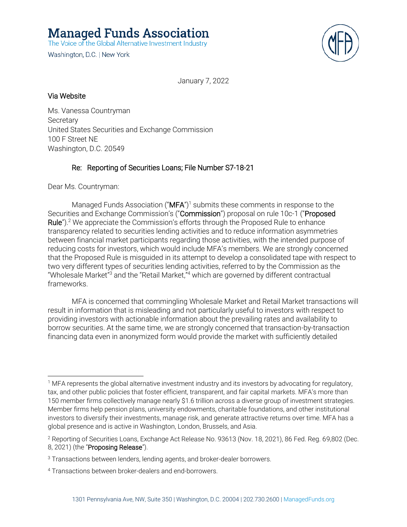**Managed Funds Association** 

The Voice of the Global Alternative Investment Industry

Washington, D.C. | New York



January 7, 2022

## Via Website

Ms. Vanessa Countryman **Secretary** United States Securities and Exchange Commission 100 F Street NE Washington, D.C. 20549

# Re: Reporting of Securities Loans; File Number S7-18-21

Dear Ms. Countryman:

Managed Funds Association (" $MFA$ ")<sup>1</sup> submits these comments in response to the Securities and Exchange Commission's ("Commission") proposal on rule 10c-1 ("Proposed Rule").<sup>2</sup> We appreciate the Commission's efforts through the Proposed Rule to enhance transparency related to securities lending activities and to reduce information asymmetries between financial market participants regarding those activities, with the intended purpose of reducing costs for investors, which would include MFA's members. We are strongly concerned that the Proposed Rule is misguided in its attempt to develop a consolidated tape with respect to two very different types of securities lending activities, referred to by the Commission as the "Wholesale Market"<sup>3</sup> and the "Retail Market,"<sup>4</sup> which are governed by different contractual frameworks.

MFA is concerned that commingling Wholesale Market and Retail Market transactions will result in information that is misleading and not particularly useful to investors with respect to providing investors with actionable information about the prevailing rates and availability to borrow securities. At the same time, we are strongly concerned that transaction-by-transaction financing data even in anonymized form would provide the market with sufficiently detailed

<sup>&</sup>lt;sup>1</sup> MFA represents the global alternative investment industry and its investors by advocating for regulatory, tax, and other public policies that foster efficient, transparent, and fair capital markets. MFA's more than 150 member firms collectively manage nearly \$1.6 trillion across a diverse group of investment strategies. Member firms help pension plans, university endowments, charitable foundations, and other institutional investors to diversify their investments, manage risk, and generate attractive returns over time. MFA has a global presence and is active in Washington, London, Brussels, and Asia.

<sup>&</sup>lt;sup>2</sup> Reporting of Securities Loans, Exchange Act Release No. 93613 (Nov. 18, 2021), 86 Fed. Reg. 69,802 (Dec. 8, 2021) (the "Proposing Release").

<sup>&</sup>lt;sup>3</sup> Transactions between lenders, lending agents, and broker-dealer borrowers.

<sup>4</sup> Transactions between broker-dealers and end-borrowers.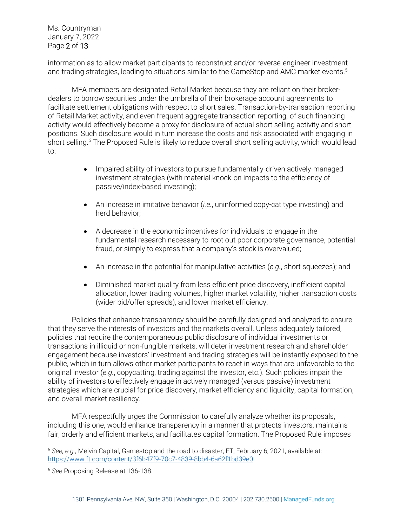Ms. Countryman January 7, 2022 Page 2 of 13

information as to allow market participants to reconstruct and/or reverse-engineer investment and trading strategies, leading to situations similar to the GameStop and AMC market events. 5

MFA members are designated Retail Market because they are reliant on their brokerdealers to borrow securities under the umbrella of their brokerage account agreements to facilitate settlement obligations with respect to short sales. Transaction-by-transaction reporting of Retail Market activity, and even frequent aggregate transaction reporting, of such financing activity would effectively become a proxy for disclosure of actual short selling activity and short positions. Such disclosure would in turn increase the costs and risk associated with engaging in short selling.<sup>6</sup> The Proposed Rule is likely to reduce overall short selling activity, which would lead to:

- Impaired ability of investors to pursue fundamentally-driven actively-managed investment strategies (with material knock-on impacts to the efficiency of passive/index-based investing);
- An increase in imitative behavior (*i.e.*, uninformed copy-cat type investing) and herd behavior;
- A decrease in the economic incentives for individuals to engage in the fundamental research necessary to root out poor corporate governance, potential fraud, or simply to express that a company's stock is overvalued;
- An increase in the potential for manipulative activities (*e.g.*, short squeezes); and
- Diminished market quality from less efficient price discovery, inefficient capital allocation, lower trading volumes, higher market volatility, higher transaction costs (wider bid/offer spreads), and lower market efficiency.

Policies that enhance transparency should be carefully designed and analyzed to ensure that they serve the interests of investors and the markets overall. Unless adequately tailored, policies that require the contemporaneous public disclosure of individual investments or transactions in illiquid or non-fungible markets, will deter investment research and shareholder engagement because investors' investment and trading strategies will be instantly exposed to the public, which in turn allows other market participants to react in ways that are unfavorable to the original investor (*e.g.*, copycatting, trading against the investor, etc.). Such policies impair the ability of investors to effectively engage in actively managed (versus passive) investment strategies which are crucial for price discovery, market efficiency and liquidity, capital formation, and overall market resiliency.

MFA respectfully urges the Commission to carefully analyze whether its proposals, including this one, would enhance transparency in a manner that protects investors, maintains fair, orderly and efficient markets, and facilitates capital formation. The Proposed Rule imposes

<sup>5</sup> *See, e.g.,* Melvin Capital, Gamestop and the road to disaster, FT, February 6, 2021, available at: https://www.ft.com/content/3f6b47f9-70c7-4839-8bb4-6a62f1bd39e0.

<sup>6</sup> *See* Proposing Release at 136-138.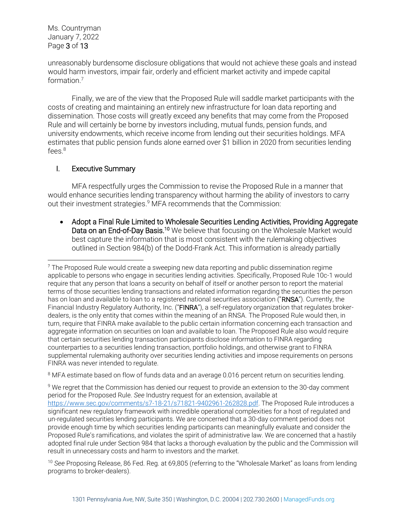Ms. Countryman January 7, 2022 Page 3 of 13

unreasonably burdensome disclosure obligations that would not achieve these goals and instead would harm investors, impair fair, orderly and efficient market activity and impede capital formation.<sup>7</sup>

Finally, we are of the view that the Proposed Rule will saddle market participants with the costs of creating and maintaining an entirely new infrastructure for loan data reporting and dissemination. Those costs will greatly exceed any benefits that may come from the Proposed Rule and will certainly be borne by investors including, mutual funds, pension funds, and university endowments, which receive income from lending out their securities holdings. MFA estimates that public pension funds alone earned over \$1 billion in 2020 from securities lending fees.<sup>8</sup>

#### I. Executive Summary

MFA respectfully urges the Commission to revise the Proposed Rule in a manner that would enhance securities lending transparency without harming the ability of investors to carry out their investment strategies. <sup>9</sup> MFA recommends that the Commission:

• Adopt a Final Rule Limited to Wholesale Securities Lending Activities, Providing Aggregate Data on an End-of-Day Basis.<sup>10</sup> We believe that focusing on the Wholesale Market would best capture the information that is most consistent with the rulemaking objectives outlined in Section 984(b) of the Dodd-Frank Act. This information is already partially

<sup>8</sup> MFA estimate based on flow of funds data and an average 0.016 percent return on securities lending.

<sup>9</sup> We regret that the Commission has denied our request to provide an extension to the 30-day comment period for the Proposed Rule. *See* Industry request for an extension, available at https://www.sec.gov/comments/s7-18-21/s71821-9402961-262828.pdf. The Proposed Rule introduces a significant new regulatory framework with incredible operational complexities for a host of regulated and un-regulated securities lending participants. We are concerned that a 30-day comment period does not provide enough time by which securities lending participants can meaningfully evaluate and consider the Proposed Rule's ramifications, and violates the spirit of administrative law. We are concerned that a hastily adopted final rule under Section 984 that lacks a thorough evaluation by the public and the Commission will result in unnecessary costs and harm to investors and the market.

<sup>10</sup> *See* Proposing Release, 86 Fed. Reg. at 69,805 (referring to the "Wholesale Market" as loans from lending programs to broker-dealers).

<sup>7</sup> The Proposed Rule would create a sweeping new data reporting and public dissemination regime applicable to persons who engage in securities lending activities. Specifically, Proposed Rule 10c-1 would require that any person that loans a security on behalf of itself or another person to report the material terms of those securities lending transactions and related information regarding the securities the person has on loan and available to loan to a registered national securities association ("RNSA"). Currently, the Financial Industry Regulatory Authority, Inc. ("FINRA"), a self-regulatory organization that regulates brokerdealers, is the only entity that comes within the meaning of an RNSA. The Proposed Rule would then, in turn, require that FINRA make available to the public certain information concerning each transaction and aggregate information on securities on loan and available to loan. The Proposed Rule also would require that certain securities lending transaction participants disclose information to FINRA regarding counterparties to a securities lending transaction, portfolio holdings, and otherwise grant to FINRA supplemental rulemaking authority over securities lending activities and impose requirements on persons FINRA was never intended to regulate.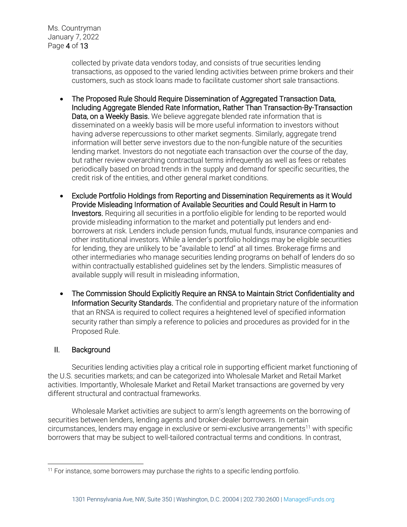Ms. Countryman January 7, 2022 Page 4 of 13

> collected by private data vendors today, and consists of true securities lending transactions, as opposed to the varied lending activities between prime brokers and their customers, such as stock loans made to facilitate customer short sale transactions.

- The Proposed Rule Should Require Dissemination of Aggregated Transaction Data, Including Aggregate Blended Rate Information, Rather Than Transaction-By-Transaction Data, on a Weekly Basis. We believe aggregate blended rate information that is disseminated on a weekly basis will be more useful information to investors without having adverse repercussions to other market segments. Similarly, aggregate trend information will better serve investors due to the non-fungible nature of the securities lending market. Investors do not negotiate each transaction over the course of the day, but rather review overarching contractual terms infrequently as well as fees or rebates periodically based on broad trends in the supply and demand for specific securities, the credit risk of the entities, and other general market conditions.
- Exclude Portfolio Holdings from Reporting and Dissemination Requirements as it Would Provide Misleading Information of Available Securities and Could Result in Harm to Investors. Requiring all securities in a portfolio eligible for lending to be reported would provide misleading information to the market and potentially put lenders and endborrowers at risk. Lenders include pension funds, mutual funds, insurance companies and other institutional investors. While a lender's portfolio holdings may be eligible securities for lending, they are unlikely to be "available to lend" at all times. Brokerage firms and other intermediaries who manage securities lending programs on behalf of lenders do so within contractually established guidelines set by the lenders. Simplistic measures of available supply will result in misleading information.
- The Commission Should Explicitly Require an RNSA to Maintain Strict Confidentiality and Information Security Standards. The confidential and proprietary nature of the information that an RNSA is required to collect requires a heightened level of specified information security rather than simply a reference to policies and procedures as provided for in the Proposed Rule.

## II. Background

Securities lending activities play a critical role in supporting efficient market functioning of the U.S. securities markets; and can be categorized into Wholesale Market and Retail Market activities. Importantly, Wholesale Market and Retail Market transactions are governed by very different structural and contractual frameworks.

Wholesale Market activities are subject to arm's length agreements on the borrowing of securities between lenders, lending agents and broker-dealer borrowers. In certain circumstances, lenders may engage in exclusive or semi-exclusive arrangements<sup>11</sup> with specific borrowers that may be subject to well-tailored contractual terms and conditions. In contrast,

<sup>&</sup>lt;sup>11</sup> For instance, some borrowers may purchase the rights to a specific lending portfolio.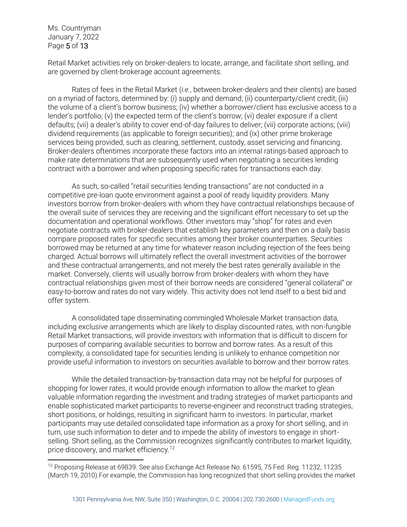Ms. Countryman January 7, 2022 Page 5 of 13

Retail Market activities rely on broker-dealers to locate, arrange, and facilitate short selling, and are governed by client-brokerage account agreements.

Rates of fees in the Retail Market (*i.e.*, between broker-dealers and their clients) are based on a myriad of factors, determined by: (i) supply and demand; (ii) counterparty/client credit; (iii) the volume of a client's borrow business; (iv) whether a borrower/client has exclusive access to a lender's portfolio; (v) the expected term of the client's borrow; (vi) dealer exposure if a client defaults; (vii) a dealer's ability to cover end-of-day failures to deliver; (vii) corporate actions; (viii) dividend requirements (as applicable to foreign securities); and (ix) other prime brokerage services being provided, such as clearing, settlement, custody, asset servicing and financing. Broker-dealers oftentimes incorporate these factors into an internal ratings-based approach to make rate determinations that are subsequently used when negotiating a securities lending contract with a borrower and when proposing specific rates for transactions each day.

As such, so-called "retail securities lending transactions" are not conducted in a competitive pre-loan quote environment against a pool of ready liquidity providers. Many investors borrow from broker-dealers with whom they have contractual relationships because of the overall suite of services they are receiving and the significant effort necessary to set up the documentation and operational workflows. Other investors may "shop" for rates and even negotiate contracts with broker-dealers that establish key parameters and then on a daily basis compare proposed rates for specific securities among their broker counterparties. Securities borrowed may be returned at any time for whatever reason including rejection of the fees being charged. Actual borrows will ultimately reflect the overall investment activities of the borrower and these contractual arrangements, and not merely the best rates generally available in the market. Conversely, clients will usually borrow from broker-dealers with whom they have contractual relationships given most of their borrow needs are considered "general collateral" or easy-to-borrow and rates do not vary widely. This activity does not lend itself to a best bid and offer system.

A consolidated tape disseminating commingled Wholesale Market transaction data, including exclusive arrangements which are likely to display discounted rates, with non-fungible Retail Market transactions, will provide investors with information that is difficult to discern for purposes of comparing available securities to borrow and borrow rates. As a result of this complexity, a consolidated tape for securities lending is unlikely to enhance competition nor provide useful information to investors on securities available to borrow and their borrow rates.

While the detailed transaction-by-transaction data may not be helpful for purposes of shopping for lower rates, it would provide enough information to allow the market to glean valuable information regarding the investment and trading strategies of market participants and enable sophisticated market participants to reverse-engineer and reconstruct trading strategies, short positions, or holdings, resulting in significant harm to investors. In particular, market participants may use detailed consolidated tape information as a proxy for short selling, and in turn, use such information to deter and to impede the ability of investors to engage in shortselling. Short selling, as the Commission recognizes significantly contributes to market liquidity, price discovery, and market efficiency.<sup>12</sup>

<sup>&</sup>lt;sup>12</sup> Proposing Release at 69839. See also Exchange Act Release No. 61595, 75 Fed. Reg. 11232, 11235 (March 19, 2010).For example, the Commission has long recognized that short selling provides the market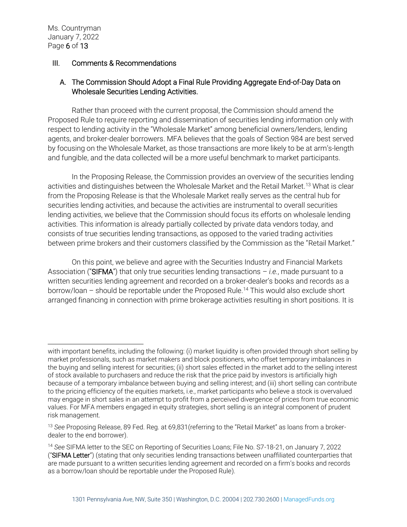# III. Comments & Recommendations

# A. The Commission Should Adopt a Final Rule Providing Aggregate End-of-Day Data on Wholesale Securities Lending Activities.

Rather than proceed with the current proposal, the Commission should amend the Proposed Rule to require reporting and dissemination of securities lending information only with respect to lending activity in the "Wholesale Market" among beneficial owners/lenders, lending agents, and broker-dealer borrowers. MFA believes that the goals of Section 984 are best served by focusing on the Wholesale Market, as those transactions are more likely to be at arm's-length and fungible, and the data collected will be a more useful benchmark to market participants.

In the Proposing Release, the Commission provides an overview of the securities lending activities and distinguishes between the Wholesale Market and the Retail Market.<sup>13</sup> What is clear from the Proposing Release is that the Wholesale Market really serves as the central hub for securities lending activities, and because the activities are instrumental to overall securities lending activities, we believe that the Commission should focus its efforts on wholesale lending activities. This information is already partially collected by private data vendors today, and consists of true securities lending transactions, as opposed to the varied trading activities between prime brokers and their customers classified by the Commission as the "Retail Market."

On this point, we believe and agree with the Securities Industry and Financial Markets Association ("SIFMA") that only true securities lending transactions – *i.e.*, made pursuant to a written securities lending agreement and recorded on a broker-dealer's books and records as a borrow/loan – should be reportable under the Proposed Rule.<sup>14</sup> This would also exclude short arranged financing in connection with prime brokerage activities resulting in short positions. It is

with important benefits, including the following: (i) market liquidity is often provided through short selling by market professionals, such as market makers and block positioners, who offset temporary imbalances in the buying and selling interest for securities; (ii) short sales effected in the market add to the selling interest of stock available to purchasers and reduce the risk that the price paid by investors is artificially high because of a temporary imbalance between buying and selling interest; and (iii) short selling can contribute to the pricing efficiency of the equities markets, i.e., market participants who believe a stock is overvalued may engage in short sales in an attempt to profit from a perceived divergence of prices from true economic values. For MFA members engaged in equity strategies, short selling is an integral component of prudent risk management.

<sup>13</sup> *See* Proposing Release, 89 Fed. Reg. at 69,831(referring to the "Retail Market" as loans from a brokerdealer to the end borrower).

<sup>14</sup> *See* SIFMA letter to the SEC on Reporting of Securities Loans; File No. S7-18-21, on January 7, 2022 ("SIFMA Letter") (stating that only securities lending transactions between unaffiliated counterparties that are made pursuant to a written securities lending agreement and recorded on a firm's books and records as a borrow/loan should be reportable under the Proposed Rule).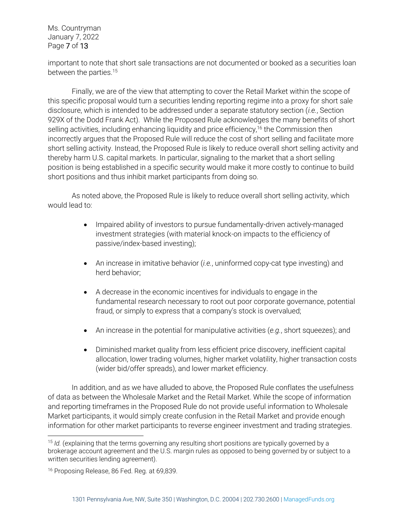Ms. Countryman January 7, 2022 Page 7 of 13

important to note that short sale transactions are not documented or booked as a securities loan between the parties.<sup>15</sup>

Finally, we are of the view that attempting to cover the Retail Market within the scope of this specific proposal would turn a securities lending reporting regime into a proxy for short sale disclosure, which is intended to be addressed under a separate statutory section (*i.e.*, Section 929X of the Dodd Frank Act). While the Proposed Rule acknowledges the many benefits of short selling activities, including enhancing liquidity and price efficiency,<sup>16</sup> the Commission then incorrectly argues that the Proposed Rule will reduce the cost of short selling and facilitate more short selling activity. Instead, the Proposed Rule is likely to reduce overall short selling activity and thereby harm U.S. capital markets. In particular, signaling to the market that a short selling position is being established in a specific security would make it more costly to continue to build short positions and thus inhibit market participants from doing so.

As noted above, the Proposed Rule is likely to reduce overall short selling activity, which would lead to:

- Impaired ability of investors to pursue fundamentally-driven actively-managed investment strategies (with material knock-on impacts to the efficiency of passive/index-based investing);
- An increase in imitative behavior (*i.e.*, uninformed copy-cat type investing) and herd behavior;
- A decrease in the economic incentives for individuals to engage in the fundamental research necessary to root out poor corporate governance, potential fraud, or simply to express that a company's stock is overvalued;
- An increase in the potential for manipulative activities (*e.g.*, short squeezes); and
- Diminished market quality from less efficient price discovery, inefficient capital allocation, lower trading volumes, higher market volatility, higher transaction costs (wider bid/offer spreads), and lower market efficiency.

In addition, and as we have alluded to above, the Proposed Rule conflates the usefulness of data as between the Wholesale Market and the Retail Market. While the scope of information and reporting timeframes in the Proposed Rule do not provide useful information to Wholesale Market participants, it would simply create confusion in the Retail Market and provide enough information for other market participants to reverse engineer investment and trading strategies.

<sup>&</sup>lt;sup>15</sup> *Id.* (explaining that the terms governing any resulting short positions are typically governed by a brokerage account agreement and the U.S. margin rules as opposed to being governed by or subject to a written securities lending agreement).

<sup>&</sup>lt;sup>16</sup> Proposing Release, 86 Fed. Reg. at 69,839.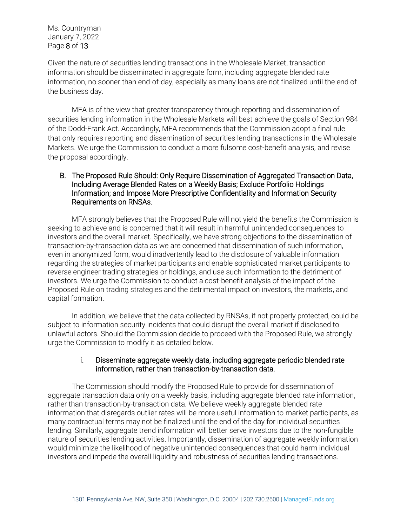Given the nature of securities lending transactions in the Wholesale Market, transaction information should be disseminated in aggregate form, including aggregate blended rate information, no sooner than end-of-day, especially as many loans are not finalized until the end of the business day.

MFA is of the view that greater transparency through reporting and dissemination of securities lending information in the Wholesale Markets will best achieve the goals of Section 984 of the Dodd-Frank Act. Accordingly, MFA recommends that the Commission adopt a final rule that only requires reporting and dissemination of securities lending transactions in the Wholesale Markets. We urge the Commission to conduct a more fulsome cost-benefit analysis, and revise the proposal accordingly.

#### B. The Proposed Rule Should: Only Require Dissemination of Aggregated Transaction Data, Including Average Blended Rates on a Weekly Basis; Exclude Portfolio Holdings Information; and Impose More Prescriptive Confidentiality and Information Security Requirements on RNSAs.

MFA strongly believes that the Proposed Rule will not yield the benefits the Commission is seeking to achieve and is concerned that it will result in harmful unintended consequences to investors and the overall market. Specifically, we have strong objections to the dissemination of transaction-by-transaction data as we are concerned that dissemination of such information, even in anonymized form, would inadvertently lead to the disclosure of valuable information regarding the strategies of market participants and enable sophisticated market participants to reverse engineer trading strategies or holdings, and use such information to the detriment of investors. We urge the Commission to conduct a cost-benefit analysis of the impact of the Proposed Rule on trading strategies and the detrimental impact on investors, the markets, and capital formation.

In addition, we believe that the data collected by RNSAs, if not properly protected, could be subject to information security incidents that could disrupt the overall market if disclosed to unlawful actors. Should the Commission decide to proceed with the Proposed Rule, we strongly urge the Commission to modify it as detailed below.

#### i. Disseminate aggregate weekly data, including aggregate periodic blended rate information, rather than transaction-by-transaction data.

The Commission should modify the Proposed Rule to provide for dissemination of aggregate transaction data only on a weekly basis, including aggregate blended rate information, rather than transaction-by-transaction data. We believe weekly aggregate blended rate information that disregards outlier rates will be more useful information to market participants, as many contractual terms may not be finalized until the end of the day for individual securities lending. Similarly, aggregate trend information will better serve investors due to the non-fungible nature of securities lending activities. Importantly, dissemination of aggregate weekly information would minimize the likelihood of negative unintended consequences that could harm individual investors and impede the overall liquidity and robustness of securities lending transactions.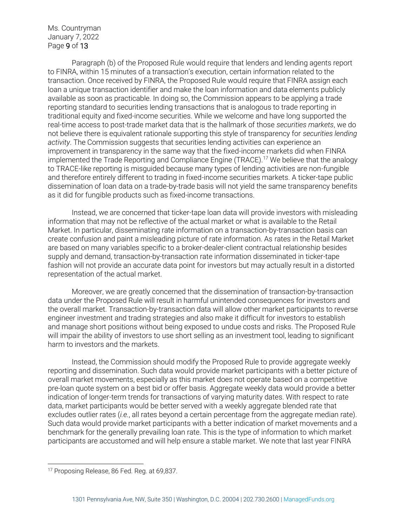Ms. Countryman January 7, 2022 Page 9 of 13

Paragraph (b) of the Proposed Rule would require that lenders and lending agents report to FINRA, within 15 minutes of a transaction's execution, certain information related to the transaction. Once received by FINRA, the Proposed Rule would require that FINRA assign each loan a unique transaction identifier and make the loan information and data elements publicly available as soon as practicable. In doing so, the Commission appears to be applying a trade reporting standard to securities lending transactions that is analogous to trade reporting in traditional equity and fixed-income securities. While we welcome and have long supported the real-time access to post-trade market data that is the hallmark of those *securities markets*, we do not believe there is equivalent rationale supporting this style of transparency for *securities lending activity*. The Commission suggests that securities lending activities can experience an improvement in transparency in the same way that the fixed-income markets did when FINRA implemented the Trade Reporting and Compliance Engine (TRACE).<sup>17</sup> We believe that the analogy to TRACE-like reporting is misguided because many types of lending activities are non-fungible and therefore entirely different to trading in fixed-income securities markets. A ticker-tape public dissemination of loan data on a trade-by-trade basis will not yield the same transparency benefits as it did for fungible products such as fixed-income transactions.

Instead, we are concerned that ticker-tape loan data will provide investors with misleading information that may not be reflective of the actual market or what is available to the Retail Market. In particular, disseminating rate information on a transaction-by-transaction basis can create confusion and paint a misleading picture of rate information. As rates in the Retail Market are based on many variables specific to a broker-dealer-client contractual relationship besides supply and demand, transaction-by-transaction rate information disseminated in ticker-tape fashion will not provide an accurate data point for investors but may actually result in a distorted representation of the actual market.

Moreover, we are greatly concerned that the dissemination of transaction-by-transaction data under the Proposed Rule will result in harmful unintended consequences for investors and the overall market. Transaction-by-transaction data will allow other market participants to reverse engineer investment and trading strategies and also make it difficult for investors to establish and manage short positions without being exposed to undue costs and risks. The Proposed Rule will impair the ability of investors to use short selling as an investment tool, leading to significant harm to investors and the markets.

Instead, the Commission should modify the Proposed Rule to provide aggregate weekly reporting and dissemination. Such data would provide market participants with a better picture of overall market movements, especially as this market does not operate based on a competitive pre-loan quote system on a best bid or offer basis. Aggregate weekly data would provide a better indication of longer-term trends for transactions of varying maturity dates. With respect to rate data, market participants would be better served with a weekly aggregate blended rate that excludes outlier rates (*i.e.*, all rates beyond a certain percentage from the aggregate median rate). Such data would provide market participants with a better indication of market movements and a benchmark for the generally prevailing loan rate. This is the type of information to which market participants are accustomed and will help ensure a stable market. We note that last year FINRA

<sup>&</sup>lt;sup>17</sup> Proposing Release, 86 Fed. Reg. at 69,837.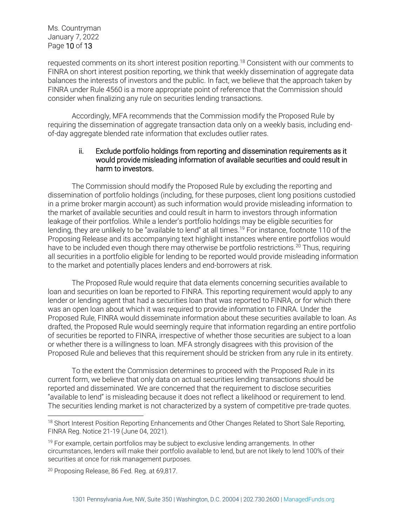requested comments on its short interest position reporting.<sup>18</sup> Consistent with our comments to FINRA on short interest position reporting, we think that weekly dissemination of aggregate data balances the interests of investors and the public. In fact, we believe that the approach taken by FINRA under Rule 4560 is a more appropriate point of reference that the Commission should consider when finalizing any rule on securities lending transactions.

Accordingly, MFA recommends that the Commission modify the Proposed Rule by requiring the dissemination of aggregate transaction data only on a weekly basis, including endof-day aggregate blended rate information that excludes outlier rates.

#### ii. Exclude portfolio holdings from reporting and dissemination requirements as it would provide misleading information of available securities and could result in harm to investors.

The Commission should modify the Proposed Rule by excluding the reporting and dissemination of portfolio holdings (including, for these purposes, client long positions custodied in a prime broker margin account) as such information would provide misleading information to the market of available securities and could result in harm to investors through information leakage of their portfolios. While a lender's portfolio holdings may be eligible securities for lending, they are unlikely to be "available to lend" at all times.<sup>19</sup> For instance, footnote 110 of the Proposing Release and its accompanying text highlight instances where entire portfolios would have to be included even though there may otherwise be portfolio restrictions.<sup>20</sup> Thus, requiring all securities in a portfolio eligible for lending to be reported would provide misleading information to the market and potentially places lenders and end-borrowers at risk.

The Proposed Rule would require that data elements concerning securities available to loan and securities on loan be reported to FINRA. This reporting requirement would apply to any lender or lending agent that had a securities loan that was reported to FINRA, or for which there was an open loan about which it was required to provide information to FINRA. Under the Proposed Rule, FINRA would disseminate information about these securities available to loan. As drafted, the Proposed Rule would seemingly require that information regarding an entire portfolio of securities be reported to FINRA, irrespective of whether those securities are subject to a loan or whether there is a willingness to loan. MFA strongly disagrees with this provision of the Proposed Rule and believes that this requirement should be stricken from any rule in its entirety.

To the extent the Commission determines to proceed with the Proposed Rule in its current form, we believe that only data on actual securities lending transactions should be reported and disseminated. We are concerned that the requirement to disclose securities "available to lend" is misleading because it does not reflect a likelihood or requirement to lend. The securities lending market is not characterized by a system of competitive pre-trade quotes.

<sup>&</sup>lt;sup>18</sup> Short Interest Position Reporting Enhancements and Other Changes Related to Short Sale Reporting, FINRA Reg. Notice 21-19 (June 04, 2021).

 $19$  For example, certain portfolios may be subject to exclusive lending arrangements. In other circumstances, lenders will make their portfolio available to lend, but are not likely to lend 100% of their securities at once for risk management purposes.

<sup>&</sup>lt;sup>20</sup> Proposing Release, 86 Fed. Reg. at 69,817.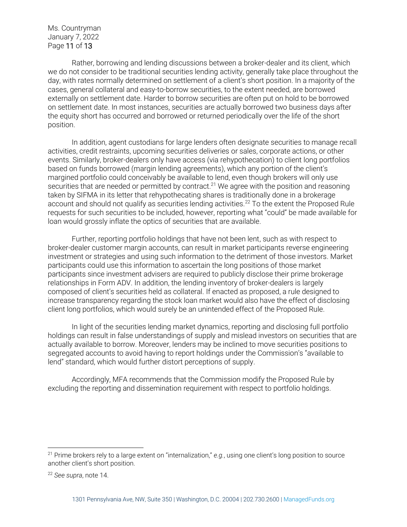Ms. Countryman January 7, 2022 Page 11 of 13

Rather, borrowing and lending discussions between a broker-dealer and its client, which we do not consider to be traditional securities lending activity, generally take place throughout the day, with rates normally determined on settlement of a client's short position. In a majority of the cases, general collateral and easy-to-borrow securities, to the extent needed, are borrowed externally on settlement date. Harder to borrow securities are often put on hold to be borrowed on settlement date. In most instances, securities are actually borrowed two business days after the equity short has occurred and borrowed or returned periodically over the life of the short position.

In addition, agent custodians for large lenders often designate securities to manage recall activities, credit restraints, upcoming securities deliveries or sales, corporate actions, or other events. Similarly, broker-dealers only have access (via rehypothecation) to client long portfolios based on funds borrowed (margin lending agreements), which any portion of the client's margined portfolio could conceivably be available to lend, even though brokers will only use securities that are needed or permitted by contract.<sup>21</sup> We agree with the position and reasoning taken by SIFMA in its letter that rehypothecating shares is traditionally done in a brokerage account and should not qualify as securities lending activities.<sup>22</sup> To the extent the Proposed Rule requests for such securities to be included, however, reporting what "could" be made available for loan would grossly inflate the optics of securities that are available.

Further, reporting portfolio holdings that have not been lent, such as with respect to broker-dealer customer margin accounts, can result in market participants reverse engineering investment or strategies and using such information to the detriment of those investors. Market participants could use this information to ascertain the long positions of those market participants since investment advisers are required to publicly disclose their prime brokerage relationships in Form ADV. In addition, the lending inventory of broker-dealers is largely composed of client's securities held as collateral. If enacted as proposed, a rule designed to increase transparency regarding the stock loan market would also have the effect of disclosing client long portfolios, which would surely be an unintended effect of the Proposed Rule.

In light of the securities lending market dynamics, reporting and disclosing full portfolio holdings can result in false understandings of supply and mislead investors on securities that are actually available to borrow. Moreover, lenders may be inclined to move securities positions to segregated accounts to avoid having to report holdings under the Commission's "available to lend" standard, which would further distort perceptions of supply.

Accordingly, MFA recommends that the Commission modify the Proposed Rule by excluding the reporting and dissemination requirement with respect to portfolio holdings.

<sup>21</sup> Prime brokers rely to a large extent on "internalization," *e.g.*, using one client's long position to source another client's short position.

<sup>22</sup> *See supra*, note 14.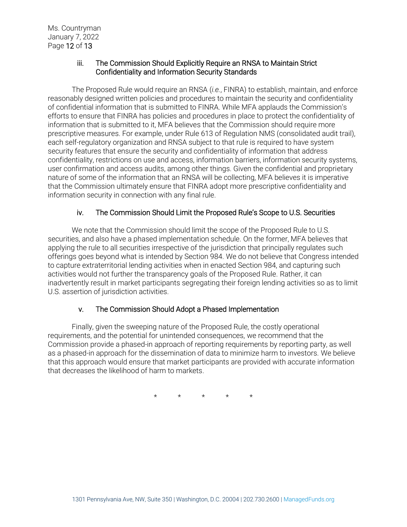## iii. The Commission Should Explicitly Require an RNSA to Maintain Strict Confidentiality and Information Security Standards

The Proposed Rule would require an RNSA (*i.e.*, FINRA) to establish, maintain, and enforce reasonably designed written policies and procedures to maintain the security and confidentiality of confidential information that is submitted to FINRA. While MFA applauds the Commission's efforts to ensure that FINRA has policies and procedures in place to protect the confidentiality of information that is submitted to it, MFA believes that the Commission should require more prescriptive measures. For example, under Rule 613 of Regulation NMS (consolidated audit trail), each self-regulatory organization and RNSA subject to that rule is required to have system security features that ensure the security and confidentiality of information that address confidentiality, restrictions on use and access, information barriers, information security systems, user confirmation and access audits, among other things. Given the confidential and proprietary nature of some of the information that an RNSA will be collecting, MFA believes it is imperative that the Commission ultimately ensure that FINRA adopt more prescriptive confidentiality and information security in connection with any final rule.

# iv. The Commission Should Limit the Proposed Rule's Scope to U.S. Securities

We note that the Commission should limit the scope of the Proposed Rule to U.S. securities, and also have a phased implementation schedule. On the former, MFA believes that applying the rule to all securities irrespective of the jurisdiction that principally regulates such offerings goes beyond what is intended by Section 984. We do not believe that Congress intended to capture extraterritorial lending activities when in enacted Section 984, and capturing such activities would not further the transparency goals of the Proposed Rule. Rather, it can inadvertently result in market participants segregating their foreign lending activities so as to limit U.S. assertion of jurisdiction activities.

## v. The Commission Should Adopt a Phased Implementation

Finally, given the sweeping nature of the Proposed Rule, the costly operational requirements, and the potential for unintended consequences, we recommend that the Commission provide a phased-in approach of reporting requirements by reporting party, as well as a phased-in approach for the dissemination of data to minimize harm to investors. We believe that this approach would ensure that market participants are provided with accurate information that decreases the likelihood of harm to markets.

\* \* \* \* \*